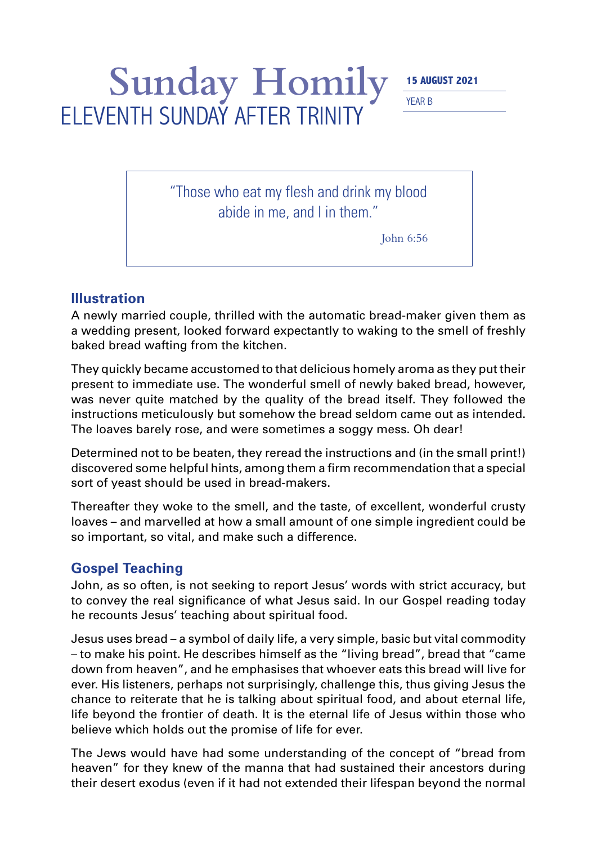## Sunday Homily **15 AUGUST 2021** YEAR B ELEVENTH SUNDAY AFTER TRINITY

"Those who eat my flesh and drink my blood abide in me, and I in them."

John 6:56

## **Illustration**

A newly married couple, thrilled with the automatic bread-maker given them as a wedding present, looked forward expectantly to waking to the smell of freshly baked bread wafting from the kitchen.

They quickly became accustomed to that delicious homely aroma as they put their present to immediate use. The wonderful smell of newly baked bread, however, was never quite matched by the quality of the bread itself. They followed the instructions meticulously but somehow the bread seldom came out as intended. The loaves barely rose, and were sometimes a soggy mess. Oh dear!

Determined not to be beaten, they reread the instructions and (in the small print!) discovered some helpful hints, among them a firm recommendation that a special sort of yeast should be used in bread-makers.

Thereafter they woke to the smell, and the taste, of excellent, wonderful crusty loaves – and marvelled at how a small amount of one simple ingredient could be so important, so vital, and make such a difference.

## **Gospel Teaching**

John, as so often, is not seeking to report Jesus' words with strict accuracy, but to convey the real significance of what Jesus said. In our Gospel reading today he recounts Jesus' teaching about spiritual food.

Jesus uses bread – a symbol of daily life, a very simple, basic but vital commodity – to make his point. He describes himself as the "living bread", bread that "came down from heaven", and he emphasises that whoever eats this bread will live for ever. His listeners, perhaps not surprisingly, challenge this, thus giving Jesus the chance to reiterate that he is talking about spiritual food, and about eternal life, life beyond the frontier of death. It is the eternal life of Jesus within those who believe which holds out the promise of life for ever.

The Jews would have had some understanding of the concept of "bread from heaven" for they knew of the manna that had sustained their ancestors during their desert exodus (even if it had not extended their lifespan beyond the normal